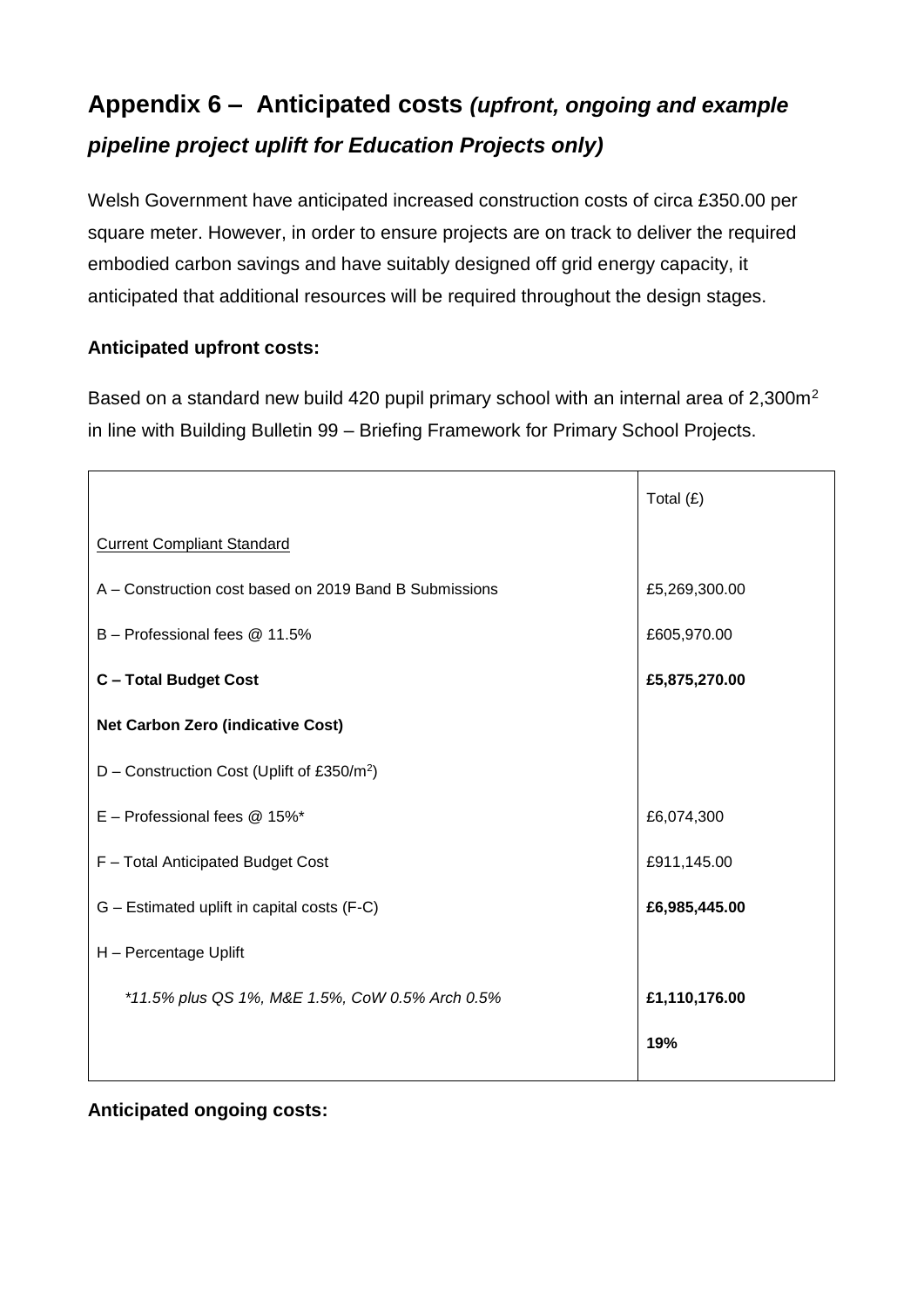## **Appendix 6 – Anticipated costs** *(upfront, ongoing and example pipeline project uplift for Education Projects only)*

Welsh Government have anticipated increased construction costs of circa £350.00 per square meter. However, in order to ensure projects are on track to deliver the required embodied carbon savings and have suitably designed off grid energy capacity, it anticipated that additional resources will be required throughout the design stages.

## **Anticipated upfront costs:**

Based on a standard new build 420 pupil primary school with an internal area of 2,300m<sup>2</sup> in line with Building Bulletin 99 – Briefing Framework for Primary School Projects.

|                                                        | Total $(E)$   |  |
|--------------------------------------------------------|---------------|--|
| <b>Current Compliant Standard</b>                      |               |  |
| A – Construction cost based on 2019 Band B Submissions | £5,269,300.00 |  |
| B - Professional fees @ 11.5%                          | £605,970.00   |  |
| <b>C-Total Budget Cost</b>                             | £5,875,270.00 |  |
| <b>Net Carbon Zero (indicative Cost)</b>               |               |  |
| D – Construction Cost (Uplift of £350/m <sup>2</sup> ) |               |  |
| $E$ – Professional fees $@$ 15%*                       | £6,074,300    |  |
| F - Total Anticipated Budget Cost                      | £911,145.00   |  |
| G – Estimated uplift in capital costs (F-C)            | £6,985,445.00 |  |
| H - Percentage Uplift                                  |               |  |
| *11.5% plus QS 1%, M&E 1.5%, CoW 0.5% Arch 0.5%        | £1,110,176.00 |  |
|                                                        | 19%           |  |

## **Anticipated ongoing costs:**